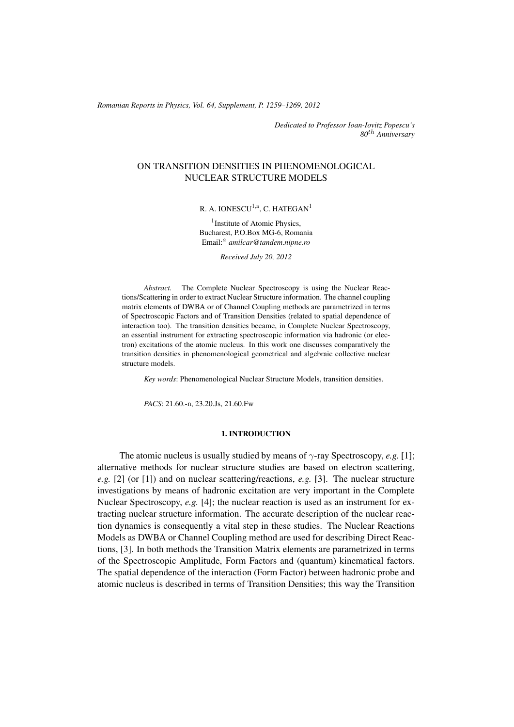(c) RRP 64(Supplement) 1259–1269 2012 *Romanian Reports in Physics, Vol. 64, Supplement, P. 1259–1269, 2012*

*Dedicated to Professor Ioan-Iovitz Popescu's 80*th *Anniversary*

# ON TRANSITION DENSITIES IN PHENOMENOLOGICAL NUCLEAR STRUCTURE MODELS

# R. A. IONESCU<sup>1,a</sup>, C. HATEGAN<sup>1</sup>

<sup>1</sup> Institute of Atomic Physics, Bucharest, P.O.Box MG-6, Romania Email:<sup>a</sup> *amilcar@tandem.nipne.ro*

*Received July 20, 2012*

*Abstract.* The Complete Nuclear Spectroscopy is using the Nuclear Reactions/Scattering in order to extract Nuclear Structure information. The channel coupling matrix elements of DWBA or of Channel Coupling methods are parametrized in terms of Spectroscopic Factors and of Transition Densities (related to spatial dependence of interaction too). The transition densities became, in Complete Nuclear Spectroscopy, an essential instrument for extracting spectroscopic information via hadronic (or electron) excitations of the atomic nucleus. In this work one discusses comparatively the transition densities in phenomenological geometrical and algebraic collective nuclear structure models.

*Key words*: Phenomenological Nuclear Structure Models, transition densities.

*PACS*: 21.60.-n, 23.20.Js, 21.60.Fw

### 1. INTRODUCTION

The atomic nucleus is usually studied by means of  $\gamma$ -ray Spectroscopy, *e.g.* [1]; alternative methods for nuclear structure studies are based on electron scattering, *e.g.* [2] (or [1]) and on nuclear scattering/reactions, *e.g.* [3]. The nuclear structure investigations by means of hadronic excitation are very important in the Complete Nuclear Spectroscopy, *e.g.* [4]; the nuclear reaction is used as an instrument for extracting nuclear structure information. The accurate description of the nuclear reaction dynamics is consequently a vital step in these studies. The Nuclear Reactions Models as DWBA or Channel Coupling method are used for describing Direct Reactions, [3]. In both methods the Transition Matrix elements are parametrized in terms of the Spectroscopic Amplitude, Form Factors and (quantum) kinematical factors. The spatial dependence of the interaction (Form Factor) between hadronic probe and atomic nucleus is described in terms of Transition Densities; this way the Transition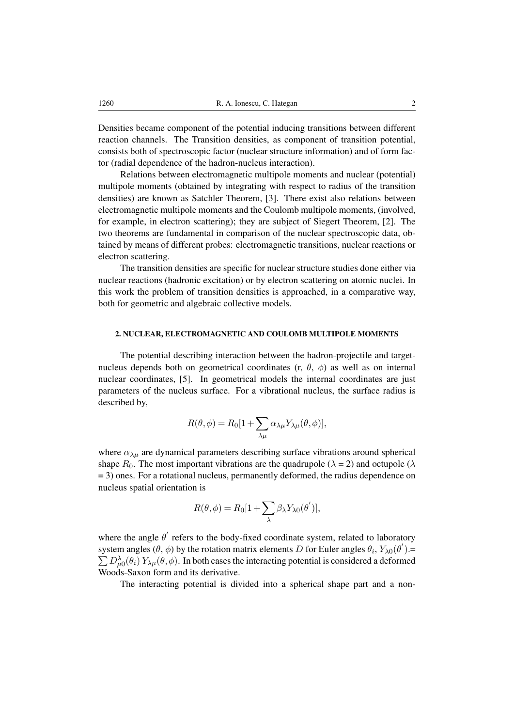Densities became component of the potential inducing transitions between different reaction channels. The Transition densities, as component of transition potential, consists both of spectroscopic factor (nuclear structure information) and of form factor (radial dependence of the hadron-nucleus interaction).

Relations between electromagnetic multipole moments and nuclear (potential) multipole moments (obtained by integrating with respect to radius of the transition densities) are known as Satchler Theorem, [3]. There exist also relations between electromagnetic multipole moments and the Coulomb multipole moments, (involved, for example, in electron scattering); they are subject of Siegert Theorem, [2]. The two theorems are fundamental in comparison of the nuclear spectroscopic data, obtained by means of different probes: electromagnetic transitions, nuclear reactions or electron scattering.

The transition densities are specific for nuclear structure studies done either via nuclear reactions (hadronic excitation) or by electron scattering on atomic nuclei. In this work the problem of transition densities is approached, in a comparative way, both for geometric and algebraic collective models.

# 2. NUCLEAR, ELECTROMAGNETIC AND COULOMB MULTIPOLE MOMENTS

The potential describing interaction between the hadron-projectile and targetnucleus depends both on geometrical coordinates (r,  $\theta$ ,  $\phi$ ) as well as on internal nuclear coordinates, [5]. In geometrical models the internal coordinates are just parameters of the nucleus surface. For a vibrational nucleus, the surface radius is described by,

$$
R(\theta, \phi) = R_0[1 + \sum_{\lambda \mu} \alpha_{\lambda \mu} Y_{\lambda \mu}(\theta, \phi)],
$$

where  $\alpha_{\lambda\mu}$  are dynamical parameters describing surface vibrations around spherical shape  $R_0$ . The most important vibrations are the quadrupole ( $\lambda = 2$ ) and octupole ( $\lambda$ = 3) ones. For a rotational nucleus, permanently deformed, the radius dependence on nucleus spatial orientation is

$$
R(\theta, \phi) = R_0[1 + \sum_{\lambda} \beta_{\lambda} Y_{\lambda 0}(\theta')],
$$

where the angle  $\theta'$  refers to the body-fixed coordinate system, related to laboratory system angles  $(\theta, \phi)$  by the rotation matrix elements D for Euler angles  $\theta_i$ ,  $Y_{\lambda 0}(\theta') =$  $\sum D_{\mu 0}^{\lambda}(\theta_i) Y_{\lambda \mu}(\theta, \phi)$ . In both cases the interacting potential is considered a deformed Woods-Saxon form and its derivative.

The interacting potential is divided into a spherical shape part and a non-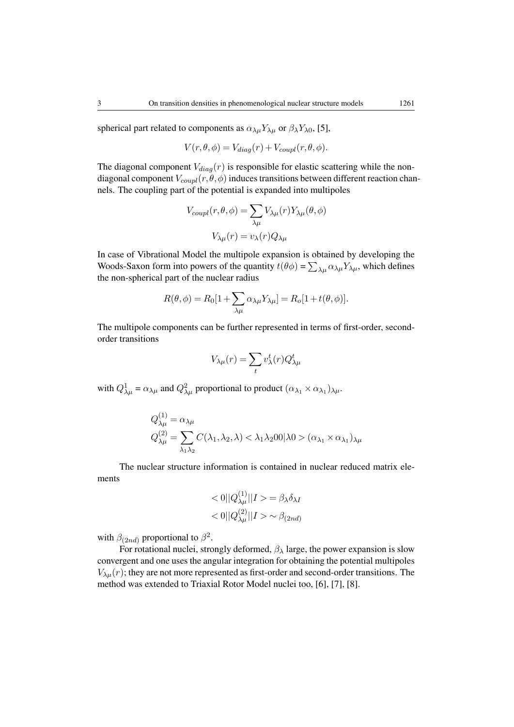spherical part related to components as  $\alpha_{\lambda\mu} Y_{\lambda\mu}$  or  $\beta_{\lambda} Y_{\lambda 0}$ , [5],

$$
V(r, \theta, \phi) = V_{diag}(r) + V_{coupl}(r, \theta, \phi).
$$

The diagonal component  $V_{diag}(r)$  is responsible for elastic scattering while the nondiagonal component  $V_{coupl}(r, \theta, \phi)$  induces transitions between different reaction channels. The coupling part of the potential is expanded into multipoles

$$
V_{coupl}(r, \theta, \phi) = \sum_{\lambda \mu} V_{\lambda \mu}(r) Y_{\lambda \mu}(\theta, \phi)
$$

$$
V_{\lambda \mu}(r) = v_{\lambda}(r) Q_{\lambda \mu}
$$

In case of Vibrational Model the multipole expansion is obtained by developing the Woods-Saxon form into powers of the quantity  $t(\theta \phi) = \sum_{\lambda \mu} \alpha_{\lambda \mu} Y_{\lambda \mu}$ , which defines the non-spherical part of the nuclear radius

$$
R(\theta, \phi) = R_0[1 + \sum_{\lambda \mu} \alpha_{\lambda \mu} Y_{\lambda \mu}] = R_o[1 + t(\theta, \phi)].
$$

The multipole components can be further represented in terms of first-order, secondorder transitions

$$
V_{\lambda\mu}(r) = \sum_{t} v_{\lambda}^{t}(r) Q_{\lambda\mu}^{t}
$$

with  $Q_{\lambda\mu}^1 = \alpha_{\lambda\mu}$  and  $Q_{\lambda\mu}^2$  proportional to product  $(\alpha_{\lambda_1} \times \alpha_{\lambda_1})_{\lambda\mu}$ .

$$
Q_{\lambda\mu}^{(1)} = \alpha_{\lambda\mu}
$$
  
\n
$$
Q_{\lambda\mu}^{(2)} = \sum_{\lambda_1\lambda_2} C(\lambda_1, \lambda_2, \lambda) < \lambda_1\lambda_2 00 |\lambda_0 > (\alpha_{\lambda_1} \times \alpha_{\lambda_1})_{\lambda\mu}
$$

The nuclear structure information is contained in nuclear reduced matrix elements

 $(1)$ 

$$
\langle 0 || Q_{\lambda \mu}^{(1)} || I \rangle = \beta_{\lambda} \delta_{\lambda I}
$$
  

$$
\langle 0 || Q_{\lambda \mu}^{(2)} || I \rangle \sim \beta_{(2nd)}
$$

with  $\beta_{(2nd)}$  proportional to  $\beta^2$ .

For rotational nuclei, strongly deformed,  $\beta_{\lambda}$  large, the power expansion is slow convergent and one uses the angular integration for obtaining the potential multipoles  $V_{\lambda\mu}(r)$ ; they are not more represented as first-order and second-order transitions. The method was extended to Triaxial Rotor Model nuclei too, [6], [7], [8].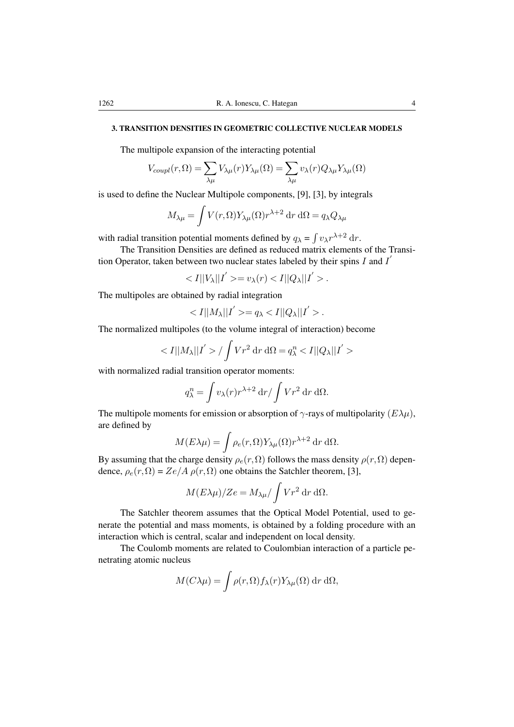# 3. TRANSITION DENSITIES IN GEOMETRIC COLLECTIVE NUCLEAR MODELS

The multipole expansion of the interacting potential

$$
V_{coupl}(r,\Omega) = \sum_{\lambda\mu} V_{\lambda\mu}(r) Y_{\lambda\mu}(\Omega) = \sum_{\lambda\mu} v_{\lambda}(r) Q_{\lambda\mu} Y_{\lambda\mu}(\Omega)
$$

is used to define the Nuclear Multipole components, [9], [3], by integrals

$$
M_{\lambda\mu} = \int V(r,\Omega) Y_{\lambda\mu}(\Omega) r^{\lambda+2} \, dr \, d\Omega = q_{\lambda} Q_{\lambda\mu}
$$

with radial transition potential moments defined by  $q_{\lambda} = \int v_{\lambda} r^{\lambda+2} dr$ .

The Transition Densities are defined as reduced matrix elements of the Transition Operator, taken between two nuclear states labeled by their spins  $I$  and  $I'$ 

 $\langle I||V_{\lambda}||I'\rangle = v_{\lambda}(r) \langle I||Q_{\lambda}||I'\rangle.$ 

The multipoles are obtained by radial integration

$$
\langle I||M_{\lambda}||I'\rangle = q_{\lambda} \langle I||Q_{\lambda}||I'\rangle.
$$

The normalized multipoles (to the volume integral of interaction) become

$$
\langle I||M_{\lambda}||I'\rangle / \int Vr^2 dr d\Omega = q_{\lambda}^n \langle I||Q_{\lambda}||I'\rangle
$$

with normalized radial transition operator moments:

$$
q_{\lambda}^{n} = \int v_{\lambda}(r) r^{\lambda+2} dr / \int V r^{2} dr d\Omega.
$$

The multipole moments for emission or absorption of  $\gamma$ -rays of multipolarity  $(E\lambda\mu)$ , are defined by

$$
M(E\lambda\mu) = \int \rho_e(r,\Omega) Y_{\lambda\mu}(\Omega) r^{\lambda+2} \, dr \, d\Omega.
$$

By assuming that the charge density  $\rho_e(r,\Omega)$  follows the mass density  $\rho(r,\Omega)$  dependence,  $\rho_e(r, \Omega) = Ze/A \rho(r, \Omega)$  one obtains the Satchler theorem, [3],

$$
M(E\lambda\mu)/Ze = M_{\lambda\mu}/\int Vr^2 dr d\Omega.
$$

The Satchler theorem assumes that the Optical Model Potential, used to generate the potential and mass moments, is obtained by a folding procedure with an interaction which is central, scalar and independent on local density.

The Coulomb moments are related to Coulombian interaction of a particle penetrating atomic nucleus

$$
M(C\lambda\mu) = \int \rho(r,\Omega) f_{\lambda}(r) Y_{\lambda\mu}(\Omega) \,dr \,d\Omega,
$$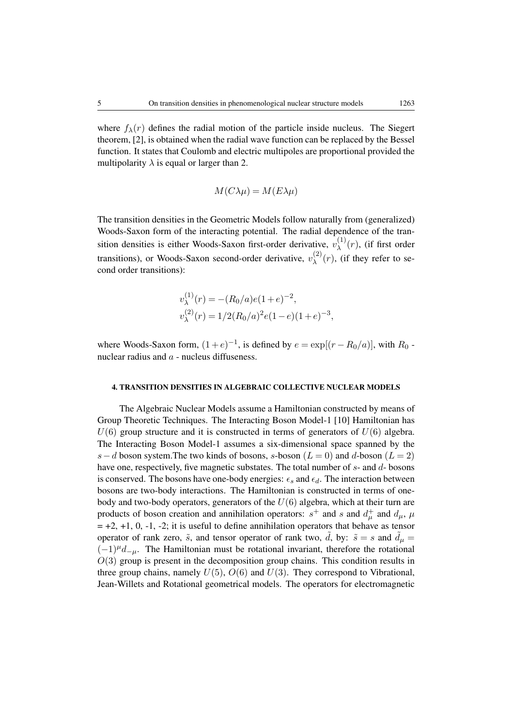where  $f_{\lambda}(r)$  defines the radial motion of the particle inside nucleus. The Siegert theorem, [2], is obtained when the radial wave function can be replaced by the Bessel function. It states that Coulomb and electric multipoles are proportional provided the multipolarity  $\lambda$  is equal or larger than 2.

$$
M(C\lambda\mu) = M(E\lambda\mu)
$$

The transition densities in the Geometric Models follow naturally from (generalized) Woods-Saxon form of the interacting potential. The radial dependence of the transition densities is either Woods-Saxon first-order derivative,  $v_{\lambda}^{(1)}$  $\lambda^{(1)}(r)$ , (if first order transitions), or Woods-Saxon second-order derivative,  $v_{\lambda}^{(2)}$  $\lambda^{(2)}(r)$ , (if they refer to second order transitions):

$$
v_{\lambda}^{(1)}(r) = -(R_0/a)e(1+e)^{-2},
$$
  

$$
v_{\lambda}^{(2)}(r) = 1/2(R_0/a)^2e(1-e)(1+e)^{-3},
$$

where Woods-Saxon form,  $(1+e)^{-1}$ , is defined by  $e = \exp[(r - R_0/a)]$ , with  $R_0$  nuclear radius and  $a$  - nucleus diffuseness.

#### 4. TRANSITION DENSITIES IN ALGEBRAIC COLLECTIVE NUCLEAR MODELS

The Algebraic Nuclear Models assume a Hamiltonian constructed by means of Group Theoretic Techniques. The Interacting Boson Model-1 [10] Hamiltonian has  $U(6)$  group structure and it is constructed in terms of generators of  $U(6)$  algebra. The Interacting Boson Model-1 assumes a six-dimensional space spanned by the s – d boson system. The two kinds of bosons, s-boson ( $L = 0$ ) and d-boson ( $L = 2$ ) have one, respectively, five magnetic substates. The total number of s- and d- bosons is conserved. The bosons have one-body energies:  $\epsilon_s$  and  $\epsilon_d$ . The interaction between bosons are two-body interactions. The Hamiltonian is constructed in terms of onebody and two-body operators, generators of the  $U(6)$  algebra, which at their turn are products of boson creation and annihilation operators:  $s^+$  and s and  $d^+_\mu$  and  $d_\mu$ ,  $\mu$  $= +2, +1, 0, -1, -2$ ; it is useful to define annihilation operators that behave as tensor operator of rank zero,  $\tilde{s}$ , and tensor operator of rank two,  $\tilde{d}$ , by:  $\tilde{s} = s$  and  $\tilde{d}_{\mu} =$  $(-1)^{\mu}d_{-\mu}$ . The Hamiltonian must be rotational invariant, therefore the rotational  $O(3)$  group is present in the decomposition group chains. This condition results in three group chains, namely  $U(5)$ ,  $O(6)$  and  $U(3)$ . They correspond to Vibrational, Jean-Willets and Rotational geometrical models. The operators for electromagnetic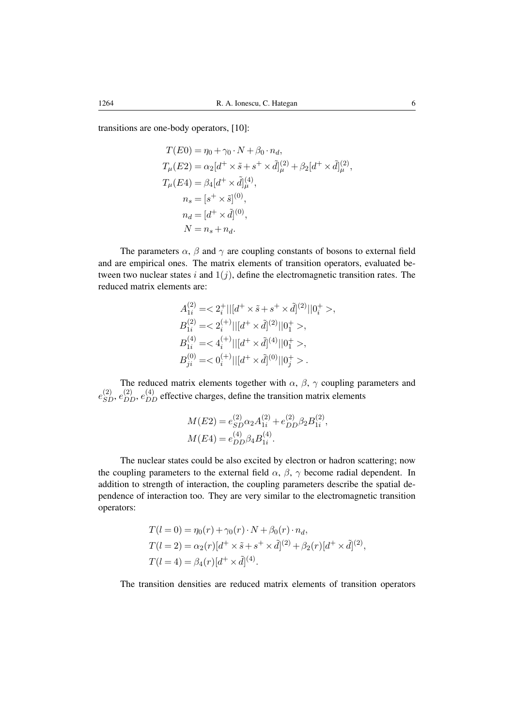transitions are one-body operators, [10]:

$$
T(E0) = \eta_0 + \gamma_0 \cdot N + \beta_0 \cdot n_d,
$$
  
\n
$$
T_{\mu}(E2) = \alpha_2 [d^+ \times \tilde{s} + s^+ \times \tilde{d}]_{\mu}^{(2)} + \beta_2 [d^+ \times \tilde{d}]_{\mu}^{(2)},
$$
  
\n
$$
T_{\mu}(E4) = \beta_4 [d^+ \times \tilde{d}]_{\mu}^{(4)},
$$
  
\n
$$
n_s = [s^+ \times \tilde{s}]^{(0)},
$$
  
\n
$$
n_d = [d^+ \times \tilde{d}]^{(0)},
$$
  
\n
$$
N = n_s + n_d.
$$

The parameters  $\alpha$ ,  $\beta$  and  $\gamma$  are coupling constants of bosons to external field and are empirical ones. The matrix elements of transition operators, evaluated between two nuclear states i and  $1(j)$ , define the electromagnetic transition rates. The reduced matrix elements are:

$$
A_{1i}^{(2)} = \langle 2_i^+ || [d^+ \times \tilde{s} + s^+ \times \tilde{d}]^{(2)} || 0_i^+ > ,
$$
  
\n
$$
B_{1i}^{(2)} = \langle 2_i^{(+)} || [d^+ \times \tilde{d}]^{(2)} || 0_1^+ > ,
$$
  
\n
$$
B_{1i}^{(4)} = \langle 4_i^{(+)} || [d^+ \times \tilde{d}]^{(4)} || 0_1^+ > ,
$$
  
\n
$$
B_{ji}^{(0)} = \langle 0_i^{(+)} || [d^+ \times \tilde{d}]^{(0)} || 0_j^+ > .
$$

The reduced matrix elements together with  $\alpha$ ,  $\beta$ ,  $\gamma$  coupling parameters and  $e_{SD}^{(2)}, e_{DD}^{(4)}, e_{DD}^{(4)}$  effective charges, define the transition matrix elements

$$
M(E2) = e_{SD}^{(2)} \alpha_2 A_{1i}^{(2)} + e_{DD}^{(2)} \beta_2 B_{1i}^{(2)},
$$
  

$$
M(E4) = e_{DD}^{(4)} \beta_4 B_{1i}^{(4)}.
$$

The nuclear states could be also excited by electron or hadron scattering; now the coupling parameters to the external field  $\alpha$ ,  $\beta$ ,  $\gamma$  become radial dependent. In addition to strength of interaction, the coupling parameters describe the spatial dependence of interaction too. They are very similar to the electromagnetic transition operators:

$$
T(l = 0) = \eta_0(r) + \gamma_0(r) \cdot N + \beta_0(r) \cdot n_d,
$$
  
\n
$$
T(l = 2) = \alpha_2(r)[d^+ \times \tilde{s} + s^+ \times \tilde{d}]^{(2)} + \beta_2(r)[d^+ \times \tilde{d}]^{(2)},
$$
  
\n
$$
T(l = 4) = \beta_4(r)[d^+ \times \tilde{d}]^{(4)}.
$$

The transition densities are reduced matrix elements of transition operators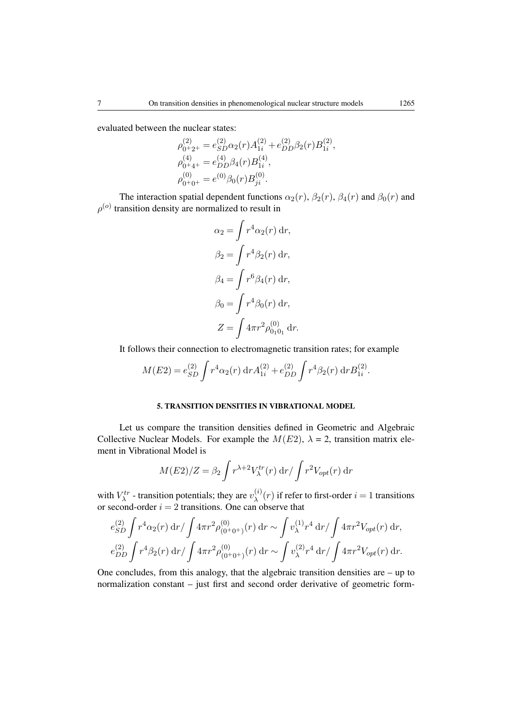evaluated between the nuclear states:

$$
\rho_{0+2+}^{(2)} = e_{SD}^{(2)} \alpha_2(r) A_{1i}^{(2)} + e_{DD}^{(2)} \beta_2(r) B_{1i}^{(2)},
$$
  
\n
$$
\rho_{0+4+}^{(4)} = e_{DD}^{(4)} \beta_4(r) B_{1i}^{(4)},
$$
  
\n
$$
\rho_{0+0+}^{(0)} = e^{(0)} \beta_0(r) B_{ji}^{(0)}.
$$

The interaction spatial dependent functions  $\alpha_2(r)$ ,  $\beta_2(r)$ ,  $\beta_4(r)$  and  $\beta_0(r)$  and  $\rho^{(o)}$  transition density are normalized to result in

$$
\alpha_2 = \int r^4 \alpha_2(r) dr,
$$
  
\n
$$
\beta_2 = \int r^4 \beta_2(r) dr,
$$
  
\n
$$
\beta_4 = \int r^6 \beta_4(r) dr,
$$
  
\n
$$
\beta_0 = \int r^4 \beta_0(r) dr,
$$
  
\n
$$
Z = \int 4\pi r^2 \rho_{0_1 0_1}^{(0)} dr.
$$

It follows their connection to electromagnetic transition rates; for example

$$
M(E2) = e_{SD}^{(2)} \int r^4 \alpha_2(r) dr A_{1i}^{(2)} + e_{DD}^{(2)} \int r^4 \beta_2(r) dr B_{1i}^{(2)}.
$$

# 5. TRANSITION DENSITIES IN VIBRATIONAL MODEL

Let us compare the transition densities defined in Geometric and Algebraic Collective Nuclear Models. For example the  $M(E2)$ ,  $\lambda = 2$ , transition matrix element in Vibrational Model is

$$
M(E2)/Z = \beta_2 \int r^{\lambda+2} V_{\lambda}^{tr}(r) dr / \int r^2 V_{opt}(r) dr
$$

with  $V_{\lambda}^{tr}$  - transition potentials; they are  $v_{\lambda}^{(i)}$  $\lambda^{(i)}(r)$  if refer to first-order  $i = 1$  transitions or second-order  $i = 2$  transitions. One can observe that

$$
e_{SD}^{(2)} \int r^4 \alpha_2(r) dr / \int 4\pi r^2 \rho_{(0+0+)}^{(0)}(r) dr \sim \int v_{\lambda}^{(1)} r^4 dr / \int 4\pi r^2 V_{opt}(r) dr,
$$
  

$$
e_{DD}^{(2)} \int r^4 \beta_2(r) dr / \int 4\pi r^2 \rho_{(0+0+)}^{(0)}(r) dr \sim \int v_{\lambda}^{(2)} r^4 dr / \int 4\pi r^2 V_{opt}(r) dr.
$$

One concludes, from this analogy, that the algebraic transition densities are – up to normalization constant – just first and second order derivative of geometric form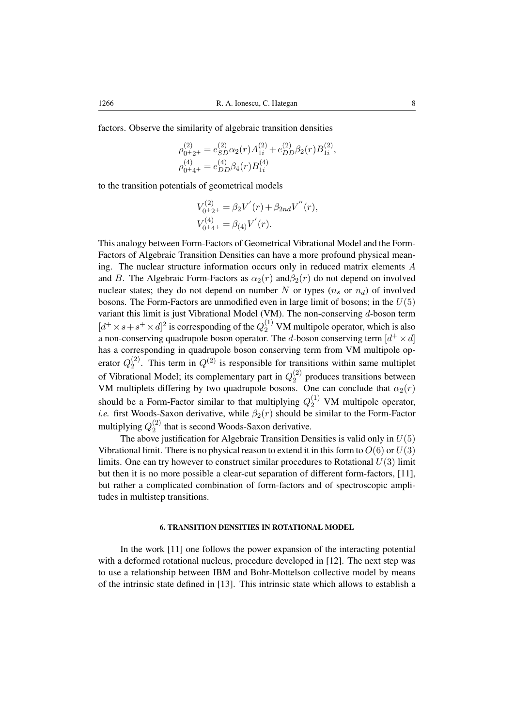factors. Observe the similarity of algebraic transition densities

$$
\rho_{0+2+}^{(2)} = e_{SD}^{(2)} \alpha_2(r) A_{1i}^{(2)} + e_{DD}^{(2)} \beta_2(r) B_{1i}^{(2)},
$$
  

$$
\rho_{0+4+}^{(4)} = e_{DD}^{(4)} \beta_4(r) B_{1i}^{(4)}
$$

to the transition potentials of geometrical models

$$
V_{0+2+}^{(2)} = \beta_2 V'(r) + \beta_{2nd} V''(r),
$$
  
\n
$$
V_{0+4+}^{(4)} = \beta_{(4)} V'(r).
$$

This analogy between Form-Factors of Geometrical Vibrational Model and the Form-Factors of Algebraic Transition Densities can have a more profound physical meaning. The nuclear structure information occurs only in reduced matrix elements A and B. The Algebraic Form-Factors as  $\alpha_2(r)$  and  $\beta_2(r)$  do not depend on involved nuclear states; they do not depend on number N or types  $(n_s \text{ or } n_d)$  of involved bosons. The Form-Factors are unmodified even in large limit of bosons; in the  $U(5)$ variant this limit is just Vibrational Model (VM). The non-conserving d-boson term  $[d^+ \times s + s^+ \times d]^2$  is corresponding of the  $Q_2^{(1)}$  VM multipole operator, which is also a non-conserving quadrupole boson operator. The d-boson conserving term  $[d^+ \times d]$ has a corresponding in quadrupole boson conserving term from VM multipole operator  $Q_2^{(2)}$  $2^{(2)}$ . This term in  $Q^{(2)}$  is responsible for transitions within same multiplet of Vibrational Model; its complementary part in  $Q_2^{(2)}$  $2^{(2)}$  produces transitions between VM multiplets differing by two quadrupole bosons. One can conclude that  $\alpha_2(r)$ should be a Form-Factor similar to that multiplying  $Q_2^{(1)}$  VM multipole operator, *i.e.* first Woods-Saxon derivative, while  $\beta_2(r)$  should be similar to the Form-Factor multiplying  $Q_2^{(2)}$  $_2^{(2)}$  that is second Woods-Saxon derivative.

The above justification for Algebraic Transition Densities is valid only in  $U(5)$ Vibrational limit. There is no physical reason to extend it in this form to  $O(6)$  or  $U(3)$ limits. One can try however to construct similar procedures to Rotational  $U(3)$  limit but then it is no more possible a clear-cut separation of different form-factors, [11], but rather a complicated combination of form-factors and of spectroscopic amplitudes in multistep transitions.

#### 6. TRANSITION DENSITIES IN ROTATIONAL MODEL

In the work [11] one follows the power expansion of the interacting potential with a deformed rotational nucleus, procedure developed in [12]. The next step was to use a relationship between IBM and Bohr-Mottelson collective model by means of the intrinsic state defined in [13]. This intrinsic state which allows to establish a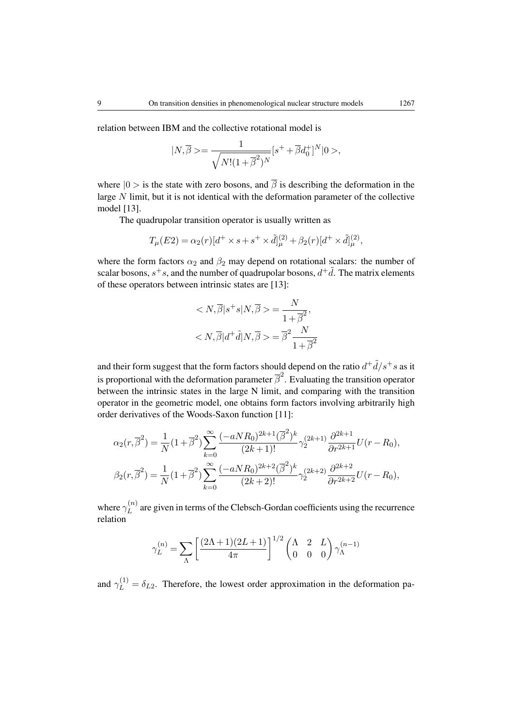relation between IBM and the collective rotational model is

$$
|N,\overline{\beta}>=\frac{1}{\sqrt{N!(1+\overline{\beta}^2)^N}}[s^++\overline{\beta}d_0^+]^N|0>,
$$

where  $|0 \rangle$  is the state with zero bosons, and  $\overline{\beta}$  is describing the deformation in the large N limit, but it is not identical with the deformation parameter of the collective model [13].

The quadrupolar transition operator is usually written as

$$
T_{\mu}(E2) = \alpha_2(r)[d^+ \times s + s^+ \times \tilde{d}]_{\mu}^{(2)} + \beta_2(r)[d^+ \times \tilde{d}]_{\mu}^{(2)},
$$

where the form factors  $\alpha_2$  and  $\beta_2$  may depend on rotational scalars: the number of scalar bosons,  $s^+s$ , and the number of quadrupolar bosons,  $d^+ \tilde{d}$ . The matrix elements of these operators between intrinsic states are [13]:

$$
\langle N, \overline{\beta} | s^+ s | N, \overline{\beta} \rangle = \frac{N}{1 + \overline{\beta}^2},
$$

$$
\langle N, \overline{\beta} | d^+ \tilde{d} | N, \overline{\beta} \rangle = \overline{\beta}^2 \frac{N}{1 + \overline{\beta}^2}.
$$

and their form suggest that the form factors should depend on the ratio  $d^+ \tilde{d}/s^+s$  as it is proportional with the deformation parameter  $\bar{\beta}^2$ . Evaluating the transition operator between the intrinsic states in the large N limit, and comparing with the transition operator in the geometric model, one obtains form factors involving arbitrarily high order derivatives of the Woods-Saxon function [11]:

$$
\alpha_2(r,\overline{\beta}^2) = \frac{1}{N}(1+\overline{\beta}^2)\sum_{k=0}^{\infty} \frac{(-aNR_0)^{2k+1}(\overline{\beta}^2)^k}{(2k+1)!}\gamma_2^{(2k+1)}\frac{\partial^{2k+1}}{\partial r^{2k+1}}U(r-R_0),
$$
  

$$
\beta_2(r,\overline{\beta}^2) = \frac{1}{N}(1+\overline{\beta}^2)\sum_{k=0}^{\infty} \frac{(-aNR_0)^{2k+2}(\overline{\beta}^2)^k}{(2k+2)!}\gamma_2^{(2k+2)}\frac{\partial^{2k+2}}{\partial r^{2k+2}}U(r-R_0),
$$

where  $\gamma_L^{(n)}$  $L^{(h)}$  are given in terms of the Clebsch-Gordan coefficients using the recurrence relation

$$
\gamma_L^{(n)} = \sum_{\Lambda} \left[ \frac{(2\Lambda + 1)(2L + 1)}{4\pi} \right]^{1/2} \begin{pmatrix} \Lambda & 2 & L \\ 0 & 0 & 0 \end{pmatrix} \gamma_{\Lambda}^{(n-1)}
$$

and  $\gamma_L^{(1)} = \delta_{L2}$ . Therefore, the lowest order approximation in the deformation pa-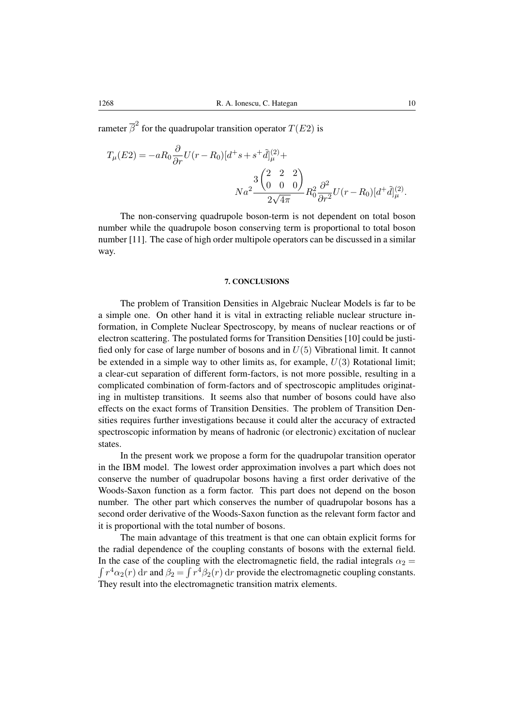rameter  $\overline{\beta}^2$  for the quadrupolar transition operator  $T(E2)$  is

$$
T_{\mu}(E2) = -aR_0 \frac{\partial}{\partial r} U(r - R_0)[d^+s + s^+ \tilde{d}]_{\mu}^{(2)} +
$$
  

$$
Na^2 \frac{3 \begin{pmatrix} 2 & 2 & 2 \\ 0 & 0 & 0 \end{pmatrix}}{2\sqrt{4\pi}} R_0^2 \frac{\partial^2}{\partial r^2} U(r - R_0)[d^+ \tilde{d}]_{\mu}^{(2)}.
$$

The non-conserving quadrupole boson-term is not dependent on total boson number while the quadrupole boson conserving term is proportional to total boson number [11]. The case of high order multipole operators can be discussed in a similar way.

#### 7. CONCLUSIONS

The problem of Transition Densities in Algebraic Nuclear Models is far to be a simple one. On other hand it is vital in extracting reliable nuclear structure information, in Complete Nuclear Spectroscopy, by means of nuclear reactions or of electron scattering. The postulated forms for Transition Densities [10] could be justified only for case of large number of bosons and in  $U(5)$  Vibrational limit. It cannot be extended in a simple way to other limits as, for example,  $U(3)$  Rotational limit; a clear-cut separation of different form-factors, is not more possible, resulting in a complicated combination of form-factors and of spectroscopic amplitudes originating in multistep transitions. It seems also that number of bosons could have also effects on the exact forms of Transition Densities. The problem of Transition Densities requires further investigations because it could alter the accuracy of extracted spectroscopic information by means of hadronic (or electronic) excitation of nuclear states.

In the present work we propose a form for the quadrupolar transition operator in the IBM model. The lowest order approximation involves a part which does not conserve the number of quadrupolar bosons having a first order derivative of the Woods-Saxon function as a form factor. This part does not depend on the boson number. The other part which conserves the number of quadrupolar bosons has a second order derivative of the Woods-Saxon function as the relevant form factor and it is proportional with the total number of bosons.

The main advantage of this treatment is that one can obtain explicit forms for the radial dependence of the coupling constants of bosons with the external field. In the case of the coupling with the electromagnetic field, the radial integrals  $\alpha_2 =$  $\int r^4 \alpha_2(r) dr$  and  $\beta_2 = \int r^4 \beta_2(r) dr$  provide the electromagnetic coupling constants. They result into the electromagnetic transition matrix elements.